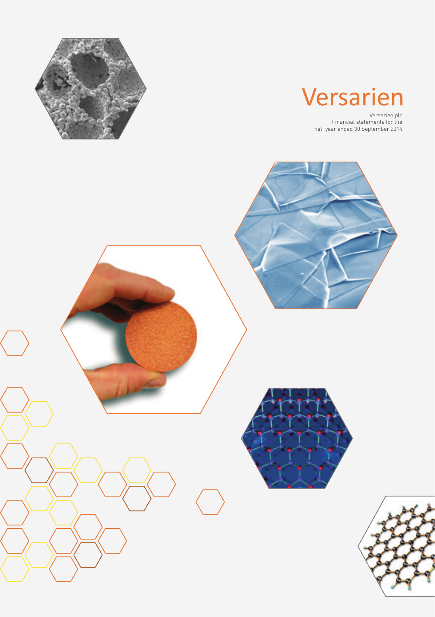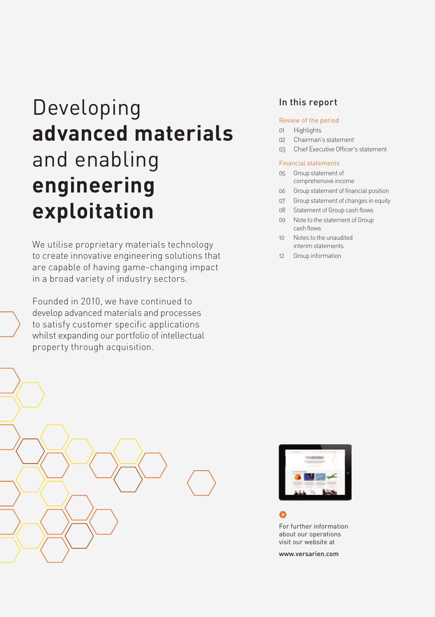# Developing **advanced materials**  and enabling **engineering exploitation**

We utilise proprietary materials technology to create innovative engineering solutions that are capable of having game-changing impact in a broad variety of industry sectors.

Founded in 2010, we have continued to develop advanced materials and processes to satisfy customer specific applications whilst expanding our portfolio of intellectual property through acquisition.

# In this report

### Review of the period

- 01 Highlights
- 02 Chairman's statement
- 03 Chief Executive Officer's statement

#### Financial statements

- 05 Group statement of comprehensive income
- 06 Group statement of financial position
- 07 Group statement of changes in equity
- 08 Statement of Group cash flows
- 09 Note to the statement of Group cash flows
- 10 Notes to the unaudited interim statements
- 12 Group information





about our operations visit our website at

www.versarien.com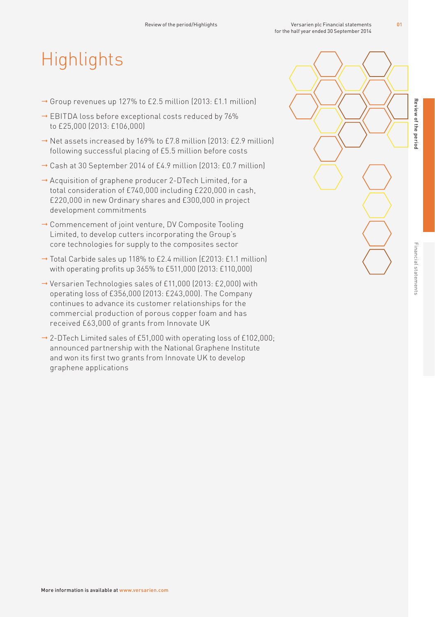# **Highlights**

- $\rightarrow$  Group revenues up 127% to £2.5 million (2013: £1.1 million)
- → EBITDA loss before exceptional costs reduced by 76% to £25,000 (2013: £106,000)
- → Net assets increased by 169% to £7.8 million (2013: £2.9 million) following successful placing of £5.5 million before costs
- $\rightarrow$  Cash at 30 September 2014 of £4.9 million (2013: £0.7 million)
- $\rightarrow$  Acquisition of graphene producer 2-DTech Limited, for a total consideration of £740,000 including £220,000 in cash, £220,000 in new Ordinary shares and £300,000 in project development commitments
- $\rightarrow$  Commencement of joint venture, DV Composite Tooling Limited, to develop cutters incorporating the Group's core technologies for supply to the composites sector
- $\rightarrow$  Total Carbide sales up 118% to £2.4 million (£2013: £1.1 million) with operating profits up 365% to £511,000 (2013: £110,000)
- $\rightarrow$  Versarien Technologies sales of £11,000 (2013: £2,000) with operating loss of £356,000 (2013: £243,000). The Company continues to advance its customer relationships for the commercial production of porous copper foam and has received £63,000 of grants from Innovate UK
- $\rightarrow$  2-DTech Limited sales of £51,000 with operating loss of £102,000; announced partnership with the National Graphene Institute and won its first two grants from Innovate UK to develop graphene applications

Review of the period

Review of the perio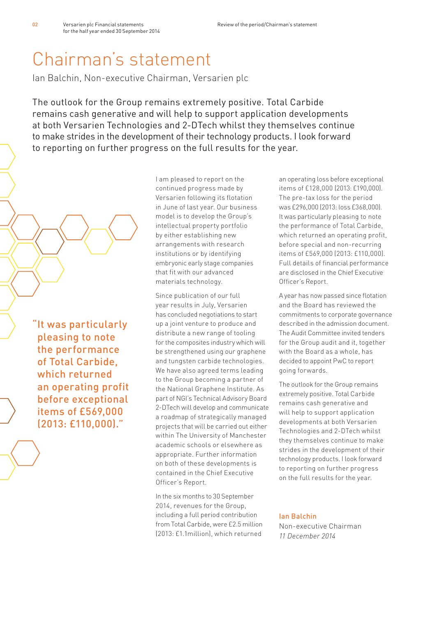# Chairman's statement

Ian Balchin, Non-executive Chairman, Versarien plc

The outlook for the Group remains extremely positive. Total Carbide remains cash generative and will help to support application developments at both Versarien Technologies and 2-DTech whilst they themselves continue to make strides in the development of their technology products. I look forward to reporting on further progress on the full results for the year.

"It was particularly pleasing to note the performance of Total Carbide, which returned an operating profit before exceptional items of £569,000 (2013: £110,000)."

I am pleased to report on the continued progress made by Versarien following its flotation in June of last year. Our business model is to develop the Group's intellectual property portfolio by either establishing new arrangements with research institutions or by identifying embryonic early stage companies that fit with our advanced materials technology.

Since publication of our full year results in July, Versarien has concluded negotiations to start up a joint venture to produce and distribute a new range of tooling for the composites industry which will be strengthened using our graphene and tungsten carbide technologies. We have also agreed terms leading to the Group becoming a partner of the National Graphene Institute. As part of NGI's Technical Advisory Board 2-DTech will develop and communicate a roadmap of strategically managed projects that will be carried out either within The University of Manchester academic schools or elsewhere as appropriate. Further information on both of these developments is contained in the Chief Executive Officer's Report.

In the six months to 30 September 2014, revenues for the Group, including a full period contribution from Total Carbide, were £2.5 million (2013: £1.1million), which returned

an operating loss before exceptional items of £128,000 (2013: £190,000). The pre-tax loss for the period was £296,000 (2013: loss £368,000). It was particularly pleasing to note the performance of Total Carbide, which returned an operating profit, before special and non-recurring items of £569,000 (2013: £110,000). Full details of financial performance are disclosed in the Chief Executive Officer's Report.

A year has now passed since flotation and the Board has reviewed the commitments to corporate governance described in the admission document. The Audit Committee invited tenders for the Group audit and it, together with the Board as a whole, has decided to appoint PwC to report going forwards.

The outlook for the Group remains extremely positive. Total Carbide remains cash generative and will help to support application developments at both Versarien Technologies and 2-DTech whilst they themselves continue to make strides in the development of their technology products. I look forward to reporting on further progress on the full results for the year.

### Ian Balchin

Non-executive Chairman *11 December 2014*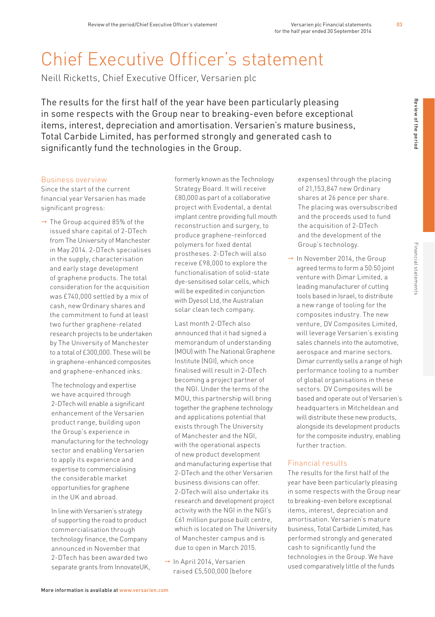# Chief Executive Officer's statement

Neill Ricketts, Chief Executive Officer, Versarien plc

The results for the first half of the year have been particularly pleasing in some respects with the Group near to breaking-even before exceptional items, interest, depreciation and amortisation. Versarien's mature business, Total Carbide Limited, has performed strongly and generated cash to significantly fund the technologies in the Group.

#### Business overview

Since the start of the current financial year Versarien has made significant progress:

 $\rightarrow$  The Group acquired 85% of the issued share capital of 2-DTech from The University of Manchester in May 2014. 2-DTech specialises in the supply, characterisation and early stage development of graphene products. The total consideration for the acquisition was £740,000 settled by a mix of cash, new Ordinary shares and the commitment to fund at least two further graphene-related research projects to be undertaken by The University of Manchester to a total of £300,000. These will be in graphene-enhanced composites and graphene-enhanced inks.

 The technology and expertise we have acquired through 2-DTech will enable a significant enhancement of the Versarien product range, building upon the Group's experience in manufacturing for the technology sector and enabling Versarien to apply its experience and expertise to commercialising the considerable market opportunities for graphene in the UK and abroad.

 In line with Versarien's strategy of supporting the road to product commercialisation through technology finance, the Company announced in November that 2-DTech has been awarded two separate grants from InnovateUK,  formerly known as the Technology Strategy Board. It will receive £80,000 as part of a collaborative project with Evodental, a dental implant centre providing full mouth reconstruction and surgery, to produce graphene-reinforced polymers for fixed dental prostheses. 2-DTech will also receive £98,000 to explore the functionalisation of solid-state dye-sensitised solar cells, which will be expedited in conjunction with Dyesol Ltd, the Australian solar clean tech company.

 Last month 2-DTech also announced that it had signed a memorandum of understanding (MOU) with The National Graphene Institute (NGI), which once finalised will result in 2-DTech becoming a project partner of the NGI. Under the terms of the MOU, this partnership will bring together the graphene technology and applications potential that exists through The University of Manchester and the NGI, with the operational aspects of new product development and manufacturing expertise that 2-DTech and the other Versarien business divisions can offer. 2-DTech will also undertake its research and development project activity with the NGI in the NGI's £61 million purpose built centre, which is located on The University of Manchester campus and is due to open in March 2015.

 $\rightarrow$  In April 2014, Versarien raised £5,500,000 (before  expenses) through the placing of 21,153,847 new Ordinary shares at 26 pence per share. The placing was oversubscribed and the proceeds used to fund the acquisition of 2-DTech and the development of the Group's technology.

 $\rightarrow$  In November 2014, the Group agreed terms to form a 50:50 joint venture with Dimar Limited, a leading manufacturer of cutting tools based in Israel, to distribute a new range of tooling for the composites industry. The new venture, DV Composites Limited, will leverage Versarien's existing sales channels into the automotive, aerospace and marine sectors. Dimar currently sells a range of high performance tooling to a number of global organisations in these sectors. DV Composites will be based and operate out of Versarien's headquarters in Mitcheldean and will distribute these new products, alongside its development products for the composite industry, enabling further traction.

#### Financial results

The results for the first half of the year have been particularly pleasing in some respects with the Group near to breaking-even before exceptional items, interest, depreciation and amortisation. Versarien's mature business, Total Carbide Limited, has performed strongly and generated cash to significantly fund the technologies in the Group. We have used comparatively little of the funds

Review of the period

Review of the perior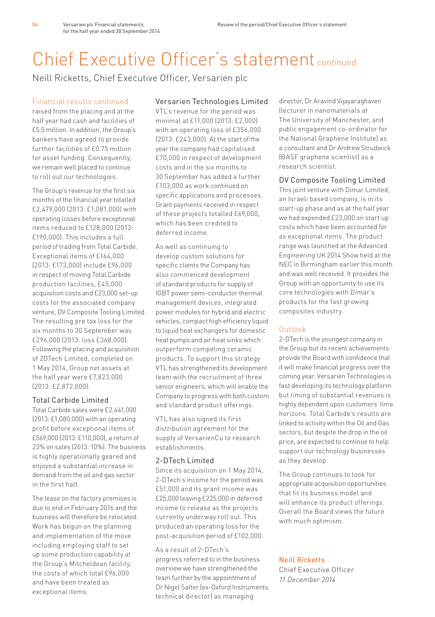# Chief Executive Officer's statement *continued*

Neill Ricketts, Chief Executive Officer, Versarien plc

## Financial results continued

raised from the placing and at the half year had cash and facilities of £5.5 million. In addition, the Group's bankers have agreed to provide further facilities of £0.75 million for asset funding. Consequently, we remain well placed to continue to roll out our technologies.

The Group's revenue for the first six months of the financial year totalled £2,479,000 (2013: £1,081,000) with operating losses before exceptional items reduced to £128,000 (2013: £190,000). This includes a full period of trading from Total Carbide. Exceptional items of £164,000 (2013: £173,000) include £96,000 in respect of moving Total Carbide production facilities, £45,000 acquisition costs and £23,000 set-up costs for the associated company venture, DV Composite Tooling Limited. The resulting pre tax loss for the six months to 30 September was £296,000 (2013: loss £368,000). Following the placing and acquisition of 2DTech Limited, completed on 1 May 2014, Group net assets at the half year were £7,823,000 (2013: £2,872,000).

## Total Carbide Limited

Total Carbide sales were £2,441,000 (2013: £1,080,000) with an operating profit before exceptional items of £569,000 (2013: £110,000), a return of 23% on sales (2013: 10%). The business is highly operationally geared and enjoyed a substantial increase in demand from the oil and gas sector in the first half.

The lease on the factory premises is due to end in February 2016 and the business will therefore be relocated. Work has begun on the planning and implementation of the move including employing staff to set up some production capability at the Group's Mitcheldean facility, the costs of which total £96,000 and have been treated as exceptional items.

## Versarien Technologies Limited

VTL's revenue for the period was minimal at £11,000 (2013: £2,000) with an operating loss of £356,000 (2013: £243,000). At the start of the year the company had capitalised £70,000 in respect of development costs and in the six months to 30 September has added a further £103,000 as work continued on specific applications and processes. Grant payments received in respect of these projects totalled £69,000, which has been credited to deferred income.

As well as continuing to develop custom solutions for specific clients the Company has also commenced development of standard products for supply of IGBT power semi-conductor thermal management devices, integrated power modules for hybrid and electric vehicles, compact high efficiency liquid to liquid heat exchangers for domestic heat pumps and air heat sinks which outperform competing ceramic products. To support this strategy VTL has strengthened its development team with the recruitment of three senior engineers, which will enable the Company to progress with both custom and standard product offerings.

VTL has also signed its first distribution agreement for the supply of VersarienCu to research establishments.

## 2-DTech Limited

Since its acquisition on 1 May 2014, 2-DTech's income for the period was £51,000 and its grant income was £25,000 leaving £225,000 in deferred income to release as the projects currently underway roll out. This produced an operating loss for the post-acquisition period of £102,000.

### As a result of 2-DTech's

progress referred to in the business overview we have strengthened the team further by the appointment of Dr Nigel Salter (ex-Oxford Instruments technical director) as managing

director, Dr Aravind Vijayaraghaven (lecturer in nanomaterials at The University of Manchester, and public engagement co-ordinator for the National Graphene Institute) as a consultant and Dr Andrew Strudwick (BASF graphene scientist) as a research scientist.

## DV Composite Tooling Limited

This joint venture with Dimar Limited, an Israeli based company, is in its start-up phase and as at the half year we had expended £23,000 on start up costs which have been accounted for as exceptional items. The product range was launched at the Advanced Engineering UK 2014 Show held at the NEC in Birmingham earlier this month and was well received. It provides the Group with an opportunity to use its core technologies with Dimar's products for the fast growing composites industry.

# Outlook

2-DTech is the youngest company in the Group but its recent achievements provide the Board with confidence that it will make financial progress over the coming year. Versarien Technologies is fast developing its technology platform but timing of substantial revenues is highly dependent upon customers' time horizons. Total Carbide's results are linked to activity within the Oil and Gas sectors, but despite the drop in the oil price, are expected to continue to help support our technology businesses as they develop.

The Group continues to look for appropriate acquisition opportunities that fit its business model and will enhance its product offerings. Overall the Board views the future with much optimism.

## Neill Ricketts

Chief Executive Officer *11 December 2014*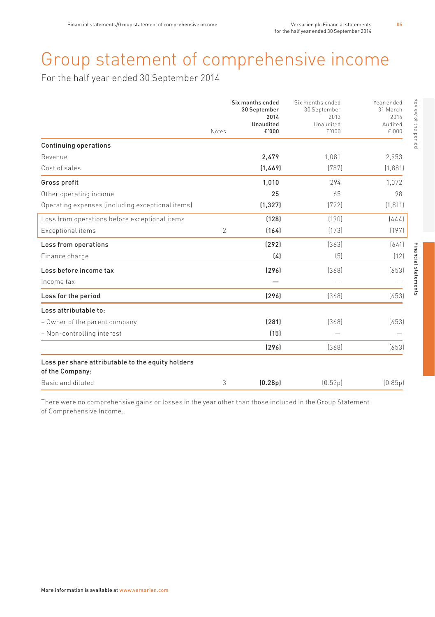# Group statement of comprehensive income

For the half year ended 30 September 2014

|                                                                      | Notes          | Six months ended<br>30 September<br>2014<br>Unaudited<br>£'000 | Six months ended<br>30 September<br>2013<br>Unaudited<br>£'000 | Review of the period<br>Year ended<br>31 March<br>2014<br>Audited<br>£'000 |
|----------------------------------------------------------------------|----------------|----------------------------------------------------------------|----------------------------------------------------------------|----------------------------------------------------------------------------|
| <b>Continuing operations</b>                                         |                |                                                                |                                                                |                                                                            |
| Revenue                                                              |                | 2,479                                                          | 1.081                                                          | 2,953                                                                      |
| Cost of sales                                                        |                | (1, 469)                                                       | (787)                                                          | (1,881)                                                                    |
| Gross profit                                                         |                | 1,010                                                          | 294                                                            | 1.072                                                                      |
| Other operating income                                               |                | 25                                                             | 65                                                             | 98                                                                         |
| Operating expenses (including exceptional items)                     |                | (1, 327)                                                       | [722]                                                          | (1, 811)                                                                   |
| Loss from operations before exceptional items                        |                | (128)                                                          | [190]                                                          | (444)                                                                      |
| Exceptional items                                                    | $\overline{2}$ | (164)                                                          | [173]                                                          | [197]                                                                      |
| Loss from operations                                                 |                | (292)                                                          | [363]                                                          | [641]                                                                      |
| Finance charge                                                       |                | (4)                                                            | [5]                                                            | (12)                                                                       |
| Loss before income tax                                               |                | [296]                                                          | [368]                                                          | Financial statements<br>[653]                                              |
| Income tax                                                           |                |                                                                |                                                                |                                                                            |
| Loss for the period                                                  |                | (296)                                                          | (368)                                                          | (653)                                                                      |
| Loss attributable to:                                                |                |                                                                |                                                                |                                                                            |
| - Owner of the parent company                                        |                | (281)                                                          | (368)                                                          | (653)                                                                      |
| - Non-controlling interest                                           |                | (15)                                                           |                                                                |                                                                            |
|                                                                      |                | [296]                                                          | (368)                                                          | (653)                                                                      |
| Loss per share attributable to the equity holders<br>of the Company: |                |                                                                |                                                                |                                                                            |
| Basic and diluted                                                    | 3              | (0.28p)                                                        | [0.52p]                                                        | [0.85p]                                                                    |

There were no comprehensive gains or losses in the year other than those included in the Group Statement of Comprehensive Income.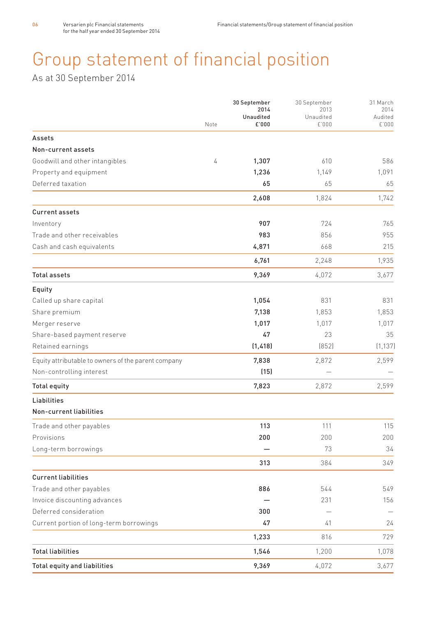# Group statement of financial position

As at 30 September 2014

|                                                     |      | 30 September<br>2014<br>Unaudited | 30 September<br>2013<br>Unaudited | 31 March<br>2014<br>Audited |
|-----------------------------------------------------|------|-----------------------------------|-----------------------------------|-----------------------------|
|                                                     | Note | £'000                             | £'000                             | £'000                       |
| Assets                                              |      |                                   |                                   |                             |
| Non-current assets                                  |      |                                   |                                   |                             |
| Goodwill and other intangibles                      | 4    | 1,307                             | 610                               | 586                         |
| Property and equipment                              |      | 1,236                             | 1,149                             | 1,091                       |
| Deferred taxation                                   |      | 65                                | 65                                | 65                          |
|                                                     |      | 2,608                             | 1,824                             | 1,742                       |
| <b>Current assets</b>                               |      |                                   |                                   |                             |
| Inventory                                           |      | 907                               | 724                               | 765                         |
| Trade and other receivables                         |      | 983                               | 856                               | 955                         |
| Cash and cash equivalents                           |      | 4,871                             | 668                               | 215                         |
|                                                     |      | 6,761                             | 2,248                             | 1,935                       |
| <b>Total assets</b>                                 |      | 9,369                             | 4,072                             | 3.677                       |
| Equity                                              |      |                                   |                                   |                             |
| Called up share capital                             |      | 1,054                             | 831                               | 831                         |
| Share premium                                       |      | 7,138                             | 1,853                             | 1,853                       |
| Merger reserve                                      |      | 1,017                             | 1,017                             | 1,017                       |
| Share-based payment reserve                         |      | 47                                | 23                                | 35                          |
| Retained earnings                                   |      | (1, 418)                          | [852]                             | [1.137]                     |
| Equity attributable to owners of the parent company |      | 7,838                             | 2,872                             | 2,599                       |
| Non-controlling interest                            |      | (15)                              |                                   |                             |
| <b>Total equity</b>                                 |      | 7,823                             | 2,872                             | 2,599                       |
| Liabilities                                         |      |                                   |                                   |                             |
| Non-current liabilities                             |      |                                   |                                   |                             |
| Trade and other payables                            |      | 113                               | 111                               | 115                         |
| Provisions                                          |      | 200                               | 200                               | 200                         |
| Long-term borrowings                                |      |                                   | 73                                | 34                          |
|                                                     |      | 313                               | 384                               | 349                         |
| <b>Current liabilities</b>                          |      |                                   |                                   |                             |
| Trade and other payables                            |      | 886                               | 544                               | 549                         |
| Invoice discounting advances                        |      |                                   | 231                               | 156                         |
| Deferred consideration                              |      | 300                               |                                   |                             |
| Current portion of long-term borrowings             |      | 47                                | 41                                | 24                          |
|                                                     |      | 1,233                             | 816                               | 729                         |
| <b>Total liabilities</b>                            |      | 1,546                             | 1,200                             | 1,078                       |
| Total equity and liabilities                        |      | 9,369                             | 4,072                             | 3.677                       |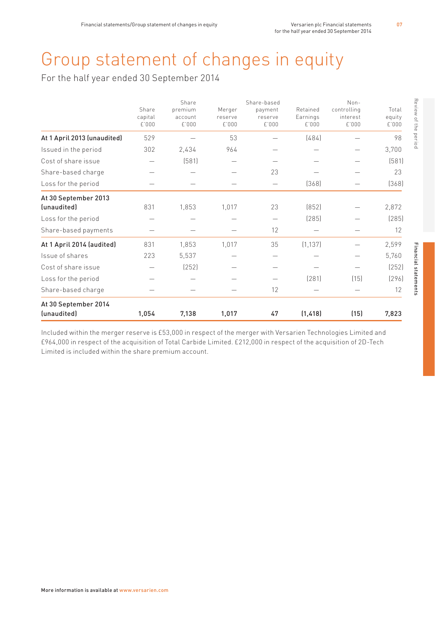# Group statement of changes in equity

For the half year ended 30 September 2014

| <i>(unaudited)</i>                         | 1,054                     | 7,138                                | 1,017                      | 47                                         | (1, 418)                      | (15)                                       | 7,823                    |
|--------------------------------------------|---------------------------|--------------------------------------|----------------------------|--------------------------------------------|-------------------------------|--------------------------------------------|--------------------------|
| At 30 September 2014                       |                           |                                      |                            |                                            |                               |                                            |                          |
| Share-based charge                         |                           |                                      |                            | 12                                         |                               |                                            | 12                       |
| Loss for the period                        |                           |                                      |                            |                                            | [281]                         | [15]                                       | [296]                    |
| Cost of share issue                        |                           | (252)                                |                            | $\equiv$                                   |                               |                                            | [252]                    |
| Issue of shares                            | 223                       | 5,537                                |                            |                                            |                               |                                            | 5,760                    |
| At 1 April 2014 (audited)                  | 831                       | 1,853                                | 1,017                      | 35                                         | (1, 137)                      |                                            | 2,599                    |
| Share-based payments                       |                           |                                      |                            | 12                                         |                               |                                            | 12                       |
| Loss for the period                        |                           |                                      |                            | $\equiv$                                   | (285)                         |                                            | (285)                    |
| At 30 September 2013<br><i>(unaudited)</i> | 831                       | 1,853                                | 1,017                      | 23                                         | [852]                         |                                            | 2,872                    |
| Loss for the period                        |                           |                                      | $\equiv$                   |                                            | [368]                         |                                            | (368)                    |
| Share-based charge                         |                           |                                      | $\equiv$                   | 23                                         |                               |                                            | 23                       |
| Cost of share issue                        |                           | (581)                                | $\overline{\phantom{0}}$   |                                            |                               |                                            | (581)                    |
| Issued in the period                       | 302                       | 2,434                                | 964                        | $\overline{\phantom{0}}$                   |                               |                                            | 3,700                    |
| At 1 April 2013 (unaudited)                | 529                       |                                      | 53                         |                                            | [484]                         |                                            | 98                       |
|                                            | Share<br>capital<br>£'000 | Share<br>premium<br>account<br>£'000 | Merger<br>reserve<br>£'000 | Share-based<br>payment<br>reserve<br>£'000 | Retained<br>Earnings<br>£'000 | $Non-$<br>controlling<br>interest<br>£'000 | Total<br>equity<br>£'000 |

Included within the merger reserve is £53,000 in respect of the merger with Versarien Technologies Limited and £964,000 in respect of the acquisition of Total Carbide Limited. £212,000 in respect of the acquisition of 2D-Tech Limited is included within the share premium account.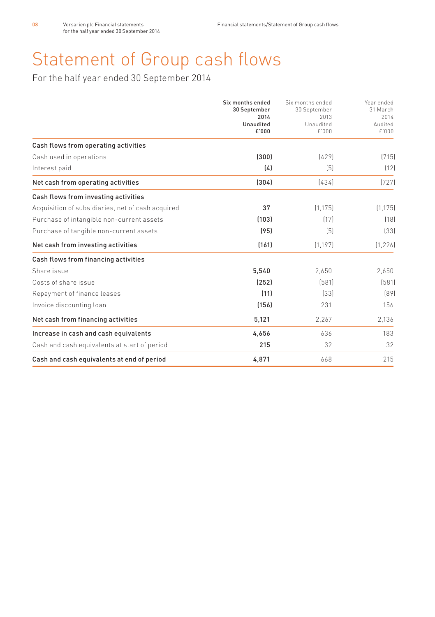# Statement of Group cash flows

For the half year ended 30 September 2014

|                                                   | Six months ended<br>30 September<br>2014<br>Unaudited<br>£'000 | Six months ended<br>30 September<br>2013 | Year ended<br>31 March<br>2014 |
|---------------------------------------------------|----------------------------------------------------------------|------------------------------------------|--------------------------------|
|                                                   |                                                                | Unaudited<br>£'000                       | Audited<br>£'000               |
| Cash flows from operating activities              |                                                                |                                          |                                |
| Cash used in operations                           | (300)                                                          | [429]                                    | [715]                          |
| Interest paid                                     | (4)                                                            | (5)                                      | (12)                           |
| Net cash from operating activities                | (304)                                                          | [434]                                    | [727]                          |
| Cash flows from investing activities              |                                                                |                                          |                                |
| Acquisition of subsidiaries, net of cash acquired | 37                                                             | (1, 175)                                 | (1, 175)                       |
| Purchase of intangible non-current assets         | (103)                                                          | [17]                                     | [18]                           |
| Purchase of tangible non-current assets           | (95)                                                           | (5)                                      | [33]                           |
| Net cash from investing activities                | (161)                                                          | (1, 197)                                 | (1, 226)                       |
| Cash flows from financing activities              |                                                                |                                          |                                |
| Share issue                                       | 5.540                                                          | 2.650                                    | 2.650                          |
| Costs of share issue                              | (252)                                                          | (581)                                    | (581)                          |
| Repayment of finance leases                       | (11)                                                           | [33]                                     | [89]                           |
| Invoice discounting loan                          | (156)                                                          | 231                                      | 156                            |
| Net cash from financing activities                | 5,121                                                          | 2,267                                    | 2,136                          |
| Increase in cash and cash equivalents             | 4,656                                                          | 636                                      | 183                            |
| Cash and cash equivalents at start of period      | 215                                                            | 32                                       | 32                             |
| Cash and cash equivalents at end of period        | 4,871                                                          | 668                                      | 215                            |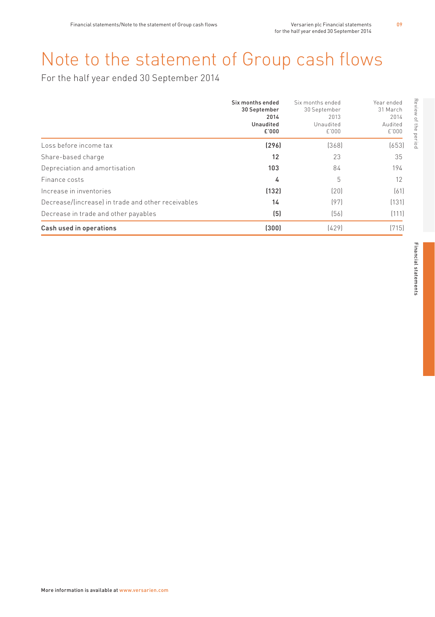# Note to the statement of Group cash flows

For the half year ended 30 September 2014

|                                                    | Six months ended<br>30 September<br>2014<br>Unaudited<br>£'000 | Six months ended<br>30 September<br>2013<br>Unaudited<br>£'000 | Review of the period<br>Year ended<br>31 March<br>2014<br>Audited<br>£1000 |
|----------------------------------------------------|----------------------------------------------------------------|----------------------------------------------------------------|----------------------------------------------------------------------------|
| Loss before income tax                             | [296]                                                          | [368]                                                          | (653)                                                                      |
| Share-based charge                                 | 12                                                             | 23                                                             | 35                                                                         |
| Depreciation and amortisation                      | 103                                                            | 84                                                             | 194                                                                        |
| Finance costs                                      | 4                                                              | 5                                                              | 12                                                                         |
| Increase in inventories                            | [132]                                                          | (20)                                                           | [61]                                                                       |
| Decrease/lincreasel in trade and other receivables | 14                                                             | (97)                                                           | (131)                                                                      |
| Decrease in trade and other payables               | (5)                                                            | (56)                                                           | (111)                                                                      |
| Cash used in operations                            | (300)                                                          | [429]                                                          | (715)                                                                      |

09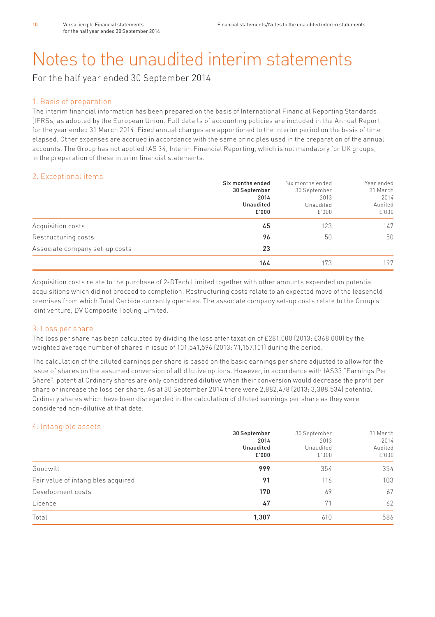# Notes to the unaudited interim statements

For the half year ended 30 September 2014

### 1. Basis of preparation

The interim financial information has been prepared on the basis of International Financial Reporting Standards (IFRSs) as adopted by the European Union. Full details of accounting policies are included in the Annual Report for the year ended 31 March 2014. Fixed annual charges are apportioned to the interim period on the basis of time elapsed. Other expenses are accrued in accordance with the same principles used in the preparation of the annual accounts. The Group has not applied IAS 34, Interim Financial Reporting, which is not mandatory for UK groups, in the preparation of these interim financial statements.

## 2. Exceptional items

|                                | Six months ended | Six months ended | Year ended |
|--------------------------------|------------------|------------------|------------|
|                                | 30 September     | 30 September     | 31 March   |
|                                | 2014             | 2013             | 2014       |
|                                | Unaudited        | Unaudited        | Audited    |
|                                | £'000            | £'000            | £'000      |
| Acquisition costs              | 45               | 123              | 147        |
| Restructuring costs            | 96               | 50               | 50         |
| Associate company set-up costs | 23               |                  |            |
|                                | 164              | 173              | 197        |

Acquisition costs relate to the purchase of 2-DTech Limited together with other amounts expended on potential acquisitions which did not proceed to completion. Restructuring costs relate to an expected move of the leasehold premises from which Total Carbide currently operates. The associate company set-up costs relate to the Group's joint venture, DV Composite Tooling Limited.

## 3. Loss per share

The loss per share has been calculated by dividing the loss after taxation of £281,000 (2013: £368,000) by the weighted average number of shares in issue of 101,541,596 (2013: 71,157,101) during the period.

The calculation of the diluted earnings per share is based on the basic earnings per share adjusted to allow for the issue of shares on the assumed conversion of all dilutive options. However, in accordance with IAS33 "Earnings Per Share", potential Ordinary shares are only considered dilutive when their conversion would decrease the profit per share or increase the loss per share. As at 30 September 2014 there were 2,882,478 (2013: 3,388,534) potential Ordinary shares which have been disregarded in the calculation of diluted earnings per share as they were considered non-dilutive at that date.

## 4. Intangible assets

| $\sim$                             | 30 September<br>2014<br>Unaudited<br>£'000 | 30 September<br>2013<br>Unaudited<br>£'000 | 31 March<br>2014<br>Audited<br>£'000 |
|------------------------------------|--------------------------------------------|--------------------------------------------|--------------------------------------|
| Goodwill                           | 999                                        | 354                                        | 354                                  |
| Fair value of intangibles acquired | 91                                         | 116                                        | 103                                  |
| Development costs                  | 170                                        | 69                                         | 67                                   |
| Licence                            | 47                                         | 71                                         | 62                                   |
| Total                              | 1,307                                      | 610                                        | 586                                  |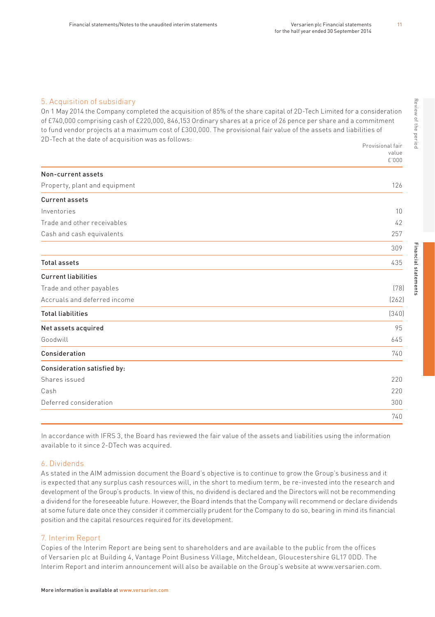### 5. Acquisition of subsidiary

On 1 May 2014 the Company completed the acquisition of 85% of the share capital of 2D-Tech Limited for a consideration of £740,000 comprising cash of £220,000, 846,153 Ordinary shares at a price of 26 pence per share and a commitment to fund vendor projects at a maximum cost of £300,000. The provisional fair value of the assets and liabilities of 2D-Tech at the date of acquisition was as follows: Provisional fair

|                               | <b>FI UVISIUII dLI I dII</b> |
|-------------------------------|------------------------------|
|                               | value<br>£'000               |
| Non-current assets            |                              |
| Property, plant and equipment | 126                          |
| <b>Current assets</b>         |                              |
| Inventories                   | 10                           |
| Trade and other receivables   | 42                           |
| Cash and cash equivalents     | 257                          |
|                               | 309                          |
| <b>Total assets</b>           | 435                          |
| <b>Current liabilities</b>    |                              |
| Trade and other payables      | (78)                         |
| Accruals and deferred income  | [262]                        |
| <b>Total liabilities</b>      | (340)                        |
| Net assets acquired           | 95                           |
| Goodwill                      | 645                          |
| Consideration                 | 740                          |
| Consideration satisfied by:   |                              |
| Shares issued                 | 220                          |
| Cash                          | 220                          |
| Deferred consideration        | 300                          |
|                               | 740                          |

In accordance with IFRS 3, the Board has reviewed the fair value of the assets and liabilities using the information available to it since 2-DTech was acquired.

### 6. Dividends

As stated in the AIM admission document the Board's objective is to continue to grow the Group's business and it is expected that any surplus cash resources will, in the short to medium term, be re-invested into the research and development of the Group's products. In view of this, no dividend is declared and the Directors will not be recommending a dividend for the foreseeable future. However, the Board intends that the Company will recommend or declare dividends at some future date once they consider it commercially prudent for the Company to do so, bearing in mind its financial position and the capital resources required for its development.

#### 7. Interim Report

Copies of the Interim Report are being sent to shareholders and are available to the public from the offices of Versarien plc at Building 4, Vantage Point Business Village, Mitcheldean, Gloucestershire GL17 0DD. The Interim Report and interim announcement will also be available on the Group's website at www.versarien.com. 11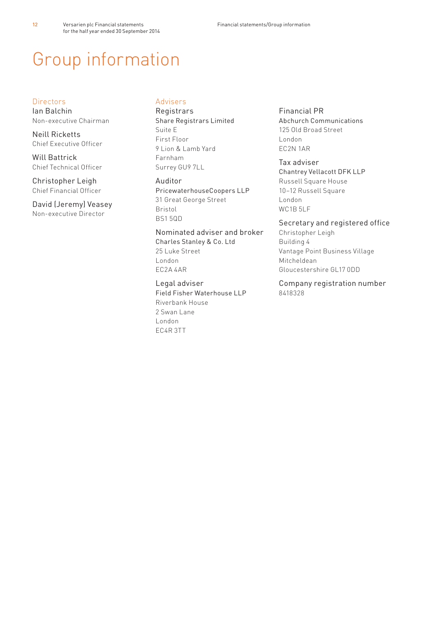# Group information

### **Directors**

12

Ian Balchin Non-executive Chairman

Neill Ricketts Chief Executive Officer

Will Battrick Chief Technical Officer

Christopher Leigh Chief Financial Officer

David (Jeremy) Veasey Non-executive Director

# Advisers

**Registrars** Share Registrars Limited Suite E First Floor 9 Lion & Lamb Yard Farnham Surrey GU9 7LL

### Auditor

PricewaterhouseCoopers LLP 31 Great George Street Bristol BS1 5QD

### Nominated adviser and broker

Charles Stanley & Co. Ltd 25 Luke Street London EC2A 4AR

Legal adviser Field Fisher Waterhouse LLP Riverbank House 2 Swan Lane London EC4R 3TT

### Financial PR

Abchurch Communications 125 Old Broad Street London EC2N 1AR

### Tax adviser

Chantrey Vellacott DFK LLP Russell Square House 10–12 Russell Square London WC<sub>1</sub>B<sub>5LF</sub>

## Secretary and registered office

Christopher Leigh Building 4 Vantage Point Business Village Mitcheldean Gloucestershire GL17 0DD

Company registration number 8418328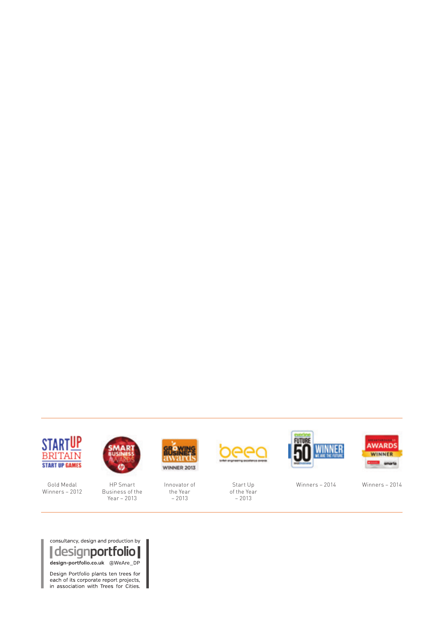

Gold Medal Winners – 2012



HP Smart Business of the Year – 2013

I



Innovator of the Year  $-2013$ 



Start Up of the Year  $-2013$ 





Winners – 2014 Winners – 2014



Design Portfolio plants ten trees for each of its corporate report projects,<br>in association with Trees for Cities.